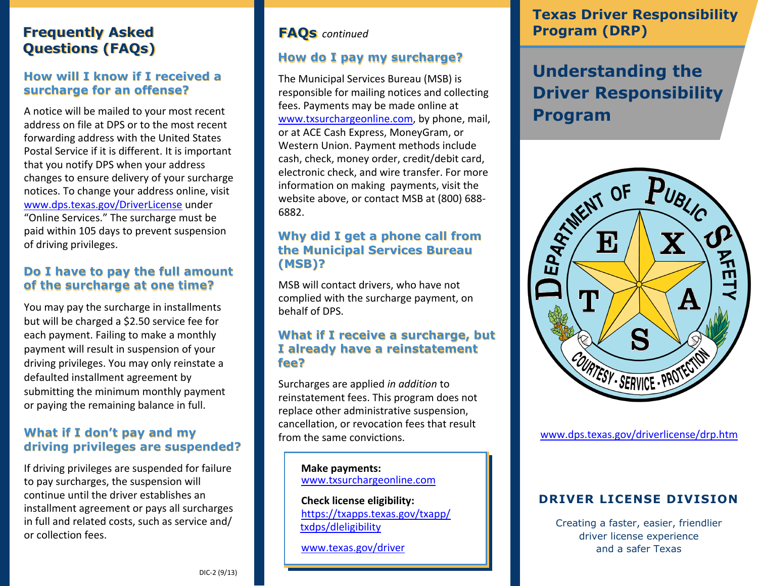## **Frequently Asked Frequently Asked Questions (FAQs) Questions (FAQs)**

#### **How will I know if I received a How will I know if I received a surcharge for an offense?**

A notice will be mailed to your most recent address on file at DPS or to the most recent forwarding address with the United States Postal Service if it is different. It is important that you notify DPS when your address changes to ensure delivery of your surcharge notices. To change your address online, visit www.dps.texas.gov/DriverLicense under "Online Services." The surcharge must be paid within 105 days to prevent suspension of driving privileges. **Surcharge for an offense?**<br>A notice will be mailed to your most recent<br>address on file at DPS or to the most recent<br>forwarding address with the United States<br>Postal Service if it is different. It is important<br>that you not

#### **Do I have to pay the full amount of the surcharge at one time? of the surcharge at one time?**

You may pay the surcharge in installments but will be charged a \$2.50 service fee for each payment. Failing to make a monthly payment will result in suspension of your driving privileges. You may only reinstate a defaulted installment agreement by submitting the minimum monthly payment or paying the remaining balance in full.

#### **What if I don't pay and my What if I don't pay and my driving privileges are suspended? driving privileges are suspended?**

If driving privileges are suspended for failure to pay surcharges, the suspension will continue until the driver establishes an installment agreement or pays all surcharges in full and related costs, such as service and/ or collection fees.

#### **FAQs** *continued*

#### **How do I pay my surcharge? How do I pay my surcharge?**

The Municipal Services Bureau (MSB) is responsible for mailing notices and collecting fees. Payments may be made online at [www.txsurchargeonline.com,](http://www.txsurchargeonline.com/) by phone, mail, or at ACE Cash Express, MoneyGram, or Western Union. Payment methods include cash, check, money order, credit/debit card, electronic check, and wire transfer. For more information on making payments, visit the website above, or contact MSB at (800) 688- 6882.

#### **Why did I get a phone call from Why did I get a phone call from the Municipal Services Bureau the Municipal Services Bureau (MSB)? (MSB)?**

MSB will contact drivers, who have not complied with the surcharge payment, on behalf of DPS.

#### **What if I receive a surcharge, but What if I receive a surcharge, but I already have a reinstatement I already have a reinstatement fee? fee?**

Surcharges are applied *in addition* to reinstatement fees. This program does not replace other administrative suspension, cancellation, or revocation fees that result from the same convictions.

> **Make payments:** [www.txsurchargeonline.com](http://www.txsurchargeonline.com/)

 **Check license eligibility:** [https://txapps.texas.gov/txapp/](https://txapps.texas.gov/txapp/txdps/dleligibility/)   [txdps/dleligibility](https://txapps.texas.gov/txapp/txdps/dleligibility/)

[www.texas.gov/driver](http://www.texas.gov/en/discover/Pages/driver.aspx)

## **Texas Driver Responsibility Program (DRP)**

## **Understanding the Driver Responsibility Program**



[www.dps.texas.gov/driverlicense/drp.htm](http://www.dps.texas.gov/driverlicense/drp.htm)

## **DRIVER LICENSE DIVISION**

Creating a faster, easier, friendlier driver license experience and a safer Texas